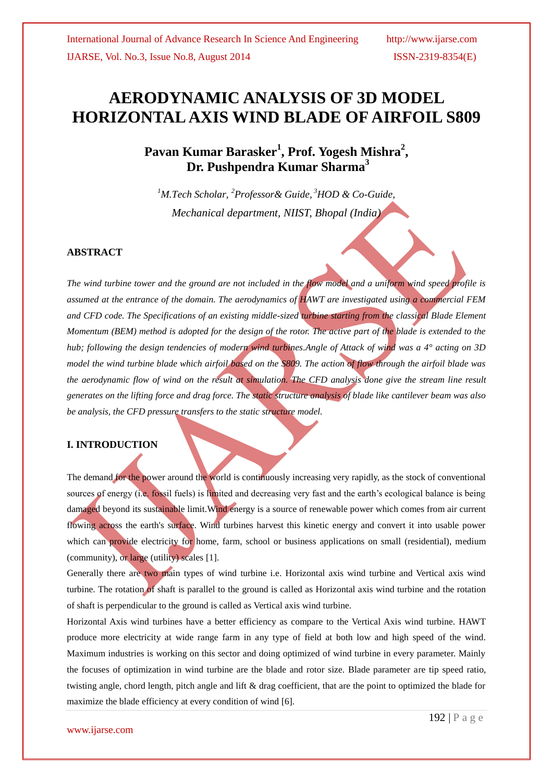**Pavan Kumar Barasker<sup>1</sup> , Prof. Yogesh Mishra<sup>2</sup> , Dr. Pushpendra Kumar Sharma<sup>3</sup>**

*<sup>1</sup>M.Tech Scholar, <sup>2</sup>Professor& Guide, <sup>3</sup>HOD & Co-Guide, Mechanical department, NIIST, Bhopal (India)*

### **ABSTRACT**

*The wind turbine tower and the ground are not included in the flow model and a uniform wind speed profile is assumed at the entrance of the domain. The aerodynamics of HAWT are investigated using a commercial FEM*  and CFD code. The Specifications of an existing middle-sized turbine starting from the classical Blade Element *Momentum (BEM) method is adopted for the design of the rotor. The active part of the blade is extended to the hub; following the design tendencies of modern wind turbines.Angle of Attack of wind was a 4° acting on 3D model the wind turbine blade which airfoil based on the S809. The action of flow through the airfoil blade was the aerodynamic flow of wind on the result at simulation. The CFD analysis done give the stream line result generates on the lifting force and drag force. The static structure analysis of blade like cantilever beam was also be analysis, the CFD pressure transfers to the static structure model.*

### **I. INTRODUCTION**

The demand for the power around the world is continuously increasing very rapidly, as the stock of conventional sources of energy (i.e. fossil fuels) is limited and decreasing very fast and the earth's ecological balance is being damaged beyond its sustainable limit.Wind energy is a source of renewable power which comes from air current flowing across the earth's surface. Wind turbines harvest this kinetic energy and convert it into usable power which can provide electricity for home, farm, school or business applications on small (residential), medium (community), or large (utility) scales [1].

Generally there are two main types of wind turbine i.e. Horizontal axis wind turbine and Vertical axis wind turbine. The rotation of shaft is parallel to the ground is called as Horizontal axis wind turbine and the rotation of shaft is perpendicular to the ground is called as Vertical axis wind turbine.

Horizontal Axis wind turbines have a better efficiency as compare to the Vertical Axis wind turbine. HAWT produce more electricity at wide range farm in any type of field at both low and high speed of the wind. Maximum industries is working on this sector and doing optimized of wind turbine in every parameter. Mainly the focuses of optimization in wind turbine are the blade and rotor size. Blade parameter are tip speed ratio, twisting angle, chord length, pitch angle and lift & drag coefficient, that are the point to optimized the blade for maximize the blade efficiency at every condition of wind [6].

www.ijarse.com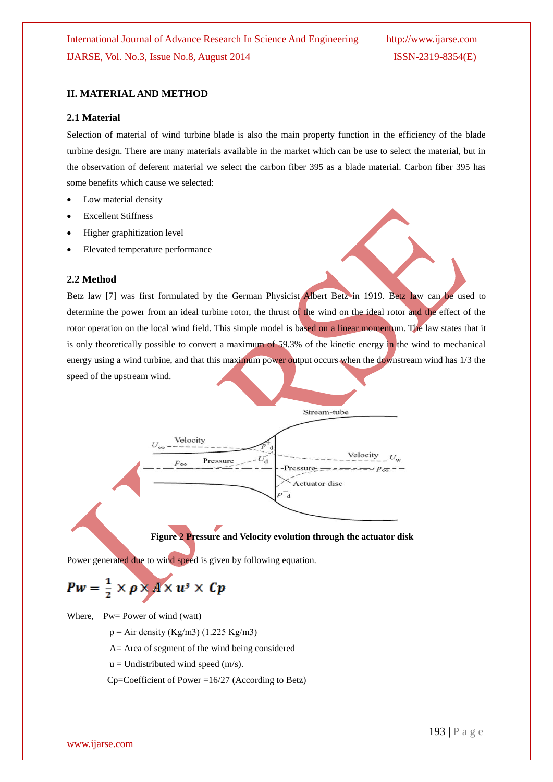# **II. MATERIAL AND METHOD**

### **2.1 Material**

Selection of material of wind turbine blade is also the main property function in the efficiency of the blade turbine design. There are many materials available in the market which can be use to select the material, but in the observation of deferent material we select the carbon fiber 395 as a blade material. Carbon fiber 395 has some benefits which cause we selected:

- Low material density
- Excellent Stiffness
- Higher graphitization level
- Elevated temperature performance

### **2.2 Method**

Betz law [7] was first formulated by the German Physicist Albert Betz in 1919. Betz law can be used to determine the power from an ideal turbine rotor, the thrust of the wind on the ideal rotor and the effect of the rotor operation on the local wind field. This simple model is based on a linear momentum. The law states that it is only theoretically possible to convert a maximum of 59.3% of the kinetic energy in the wind to mechanical energy using a wind turbine, and that this maximum power output occurs when the downstream wind has 1/3 the speed of the upstream wind.



# **Figure 2 Pressure and Velocity evolution through the actuator disk**

Power generated due to wind speed is given by following equation.

# $Pw = \frac{1}{2} \times \rho \times A \times u^3 \times Cp$

Where, Pw= Power of wind (watt)

- $p = Air density (Kg/m3) (1.225 Kg/m3)$
- A= Area of segment of the wind being considered
- $u =$  Undistributed wind speed (m/s).
- $Cp = Coefficient of Power = 16/27$  (According to Betz)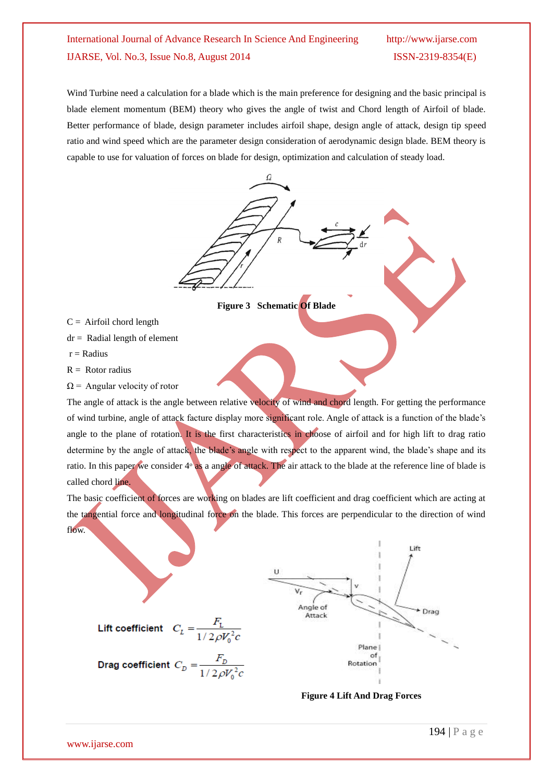# International Journal of Advance Research In Science And Engineering http://www.ijarse.com IJARSE, Vol. No.3, Issue No.8, August 2014 ISSN-2319-8354(E)

Wind Turbine need a calculation for a blade which is the main preference for designing and the basic principal is blade element momentum (BEM) theory who gives the angle of twist and Chord length of Airfoil of blade. Better performance of blade, design parameter includes airfoil shape, design angle of attack, design tip speed ratio and wind speed which are the parameter design consideration of aerodynamic design blade. BEM theory is capable to use for valuation of forces on blade for design, optimization and calculation of steady load.



- $C =$  Airfoil chord length
- $dr =$  Radial length of element
- $r =$ Radius
- $R =$  Rotor radius
- $\Omega$  = Angular velocity of rotor

The angle of attack is the angle between relative velocity of wind and chord length. For getting the performance of wind turbine, angle of attack facture display more significant role. Angle of attack is a function of the blade's angle to the plane of rotation. It is the first characteristics in choose of airfoil and for high lift to drag ratio determine by the angle of attack, the blade's angle with respect to the apparent wind, the blade's shape and its ratio. In this paper we consider  $4^{\circ}$  as a angle of attack. The air attack to the blade at the reference line of blade is called chord line.

The basic coefficient of forces are working on blades are lift coefficient and drag coefficient which are acting at the tangential force and longitudinal force on the blade. This forces are perpendicular to the direction of wind flow.



**Figure 4 Lift And Drag Forces**

Lift coefficient  $C_L = \frac{F_L}{1/2\rho V_0^2 c}$ 

Drag coefficient  $C_D = \frac{F_D}{1/2\rho V_0^2 c}$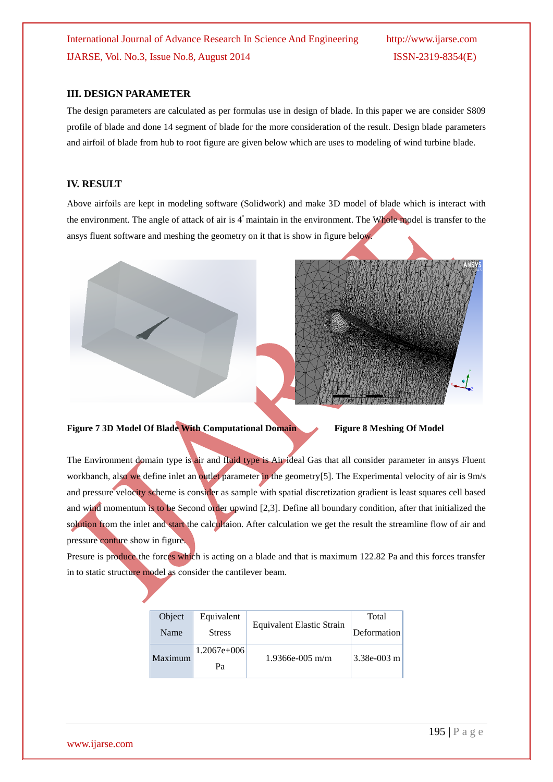International Journal of Advance Research In Science And Engineering http://www.ijarse.com IJARSE, Vol. No.3, Issue No.8, August 2014 ISSN-2319-8354(E)

#### **III. DESIGN PARAMETER**

The design parameters are calculated as per formulas use in design of blade. In this paper we are consider S809 profile of blade and done 14 segment of blade for the more consideration of the result. Design blade parameters and airfoil of blade from hub to root figure are given below which are uses to modeling of wind turbine blade.

## **IV. RESULT**

Above airfoils are kept in modeling software (Solidwork) and make 3D model of blade which is interact with the environment. The angle of attack of air is  $4^{\circ}$  maintain in the environment. The Whole model is transfer to the ansys fluent software and meshing the geometry on it that is show in figure below.





**Figure 7 3D Model Of Blade With Computational Domain Figure 8 Meshing Of Model**

The Environment domain type is air and fluid type is Air ideal Gas that all consider parameter in ansys Fluent workbanch, also we define inlet an outlet parameter in the geometry [5]. The Experimental velocity of air is 9m/s and pressure velocity scheme is consider as sample with spatial discretization gradient is least squares cell based and wind momentum is to be Second order upwind [2,3]. Define all boundary condition, after that initialized the solution from the inlet and start the calcultaion. After calculation we get the result the streamline flow of air and pressure conture show in figure.

Presure is produce the forces which is acting on a blade and that is maximum 122.82 Pa and this forces transfer in to static structure model as consider the cantilever beam.

| Object  | Equivalent          | Equivalent Elastic Strain | Total         |
|---------|---------------------|---------------------------|---------------|
| Name    | <b>Stress</b>       |                           | Deformation   |
| Maximum | $1.2067e+006$<br>Pа | $1.9366e-005$ m/m         | $3.38e-003$ m |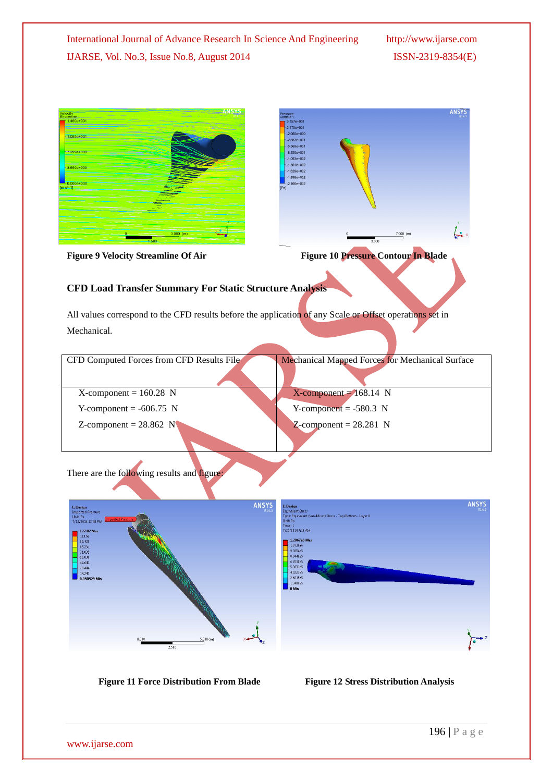

**Figure 11 Force Distribution From Blade Figure 12 Stress Distribution Analysis**